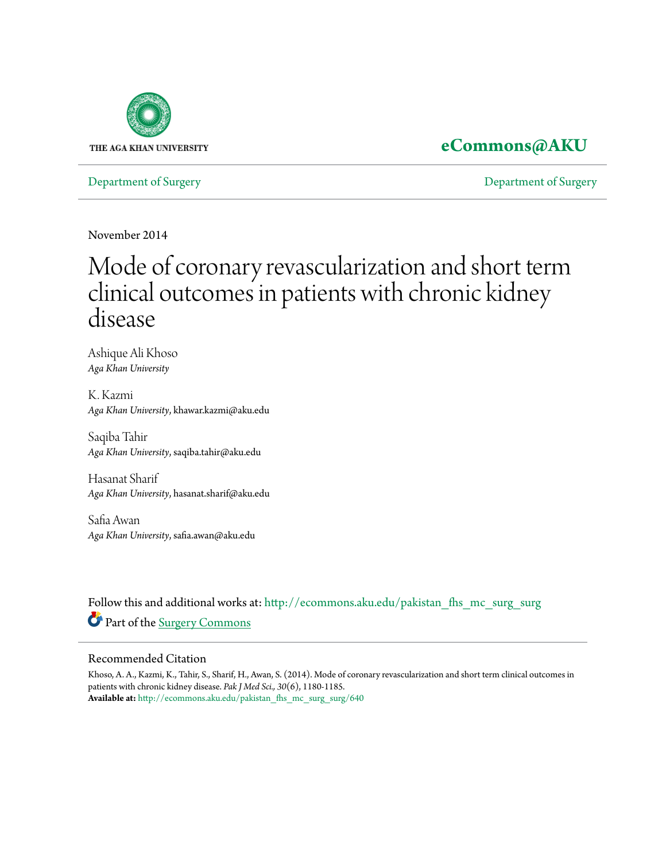

## **[eCommons@AKU](http://ecommons.aku.edu?utm_source=ecommons.aku.edu%2Fpakistan_fhs_mc_surg_surg%2F640&utm_medium=PDF&utm_campaign=PDFCoverPages)**

[Department of Surgery](http://ecommons.aku.edu/pakistan_fhs_mc_surg_surg?utm_source=ecommons.aku.edu%2Fpakistan_fhs_mc_surg_surg%2F640&utm_medium=PDF&utm_campaign=PDFCoverPages) [Department of Surgery](http://ecommons.aku.edu/pakistan_fhs_mc_surg?utm_source=ecommons.aku.edu%2Fpakistan_fhs_mc_surg_surg%2F640&utm_medium=PDF&utm_campaign=PDFCoverPages)

November 2014

# Mode of coronary revascularization and short term clinical outcomes in patients with chronic kidney disease

Ashique Ali Khoso *Aga Khan University*

K. Kazmi *Aga Khan University*, khawar.kazmi@aku.edu

Saqiba Tahir *Aga Khan University*, saqiba.tahir@aku.edu

Hasanat Sharif *Aga Khan University*, hasanat.sharif@aku.edu

Safia Awan *Aga Khan University*, safia.awan@aku.edu

Follow this and additional works at: [http://ecommons.aku.edu/pakistan\\_fhs\\_mc\\_surg\\_surg](http://ecommons.aku.edu/pakistan_fhs_mc_surg_surg?utm_source=ecommons.aku.edu%2Fpakistan_fhs_mc_surg_surg%2F640&utm_medium=PDF&utm_campaign=PDFCoverPages) Part of the [Surgery Commons](http://network.bepress.com/hgg/discipline/706?utm_source=ecommons.aku.edu%2Fpakistan_fhs_mc_surg_surg%2F640&utm_medium=PDF&utm_campaign=PDFCoverPages)

#### Recommended Citation

Khoso, A. A., Kazmi, K., Tahir, S., Sharif, H., Awan, S. (2014). Mode of coronary revascularization and short term clinical outcomes in patients with chronic kidney disease. *Pak J Med Sci., 30*(6), 1180-1185. **Available at:** [http://ecommons.aku.edu/pakistan\\_fhs\\_mc\\_surg\\_surg/640](http://ecommons.aku.edu/pakistan_fhs_mc_surg_surg/640)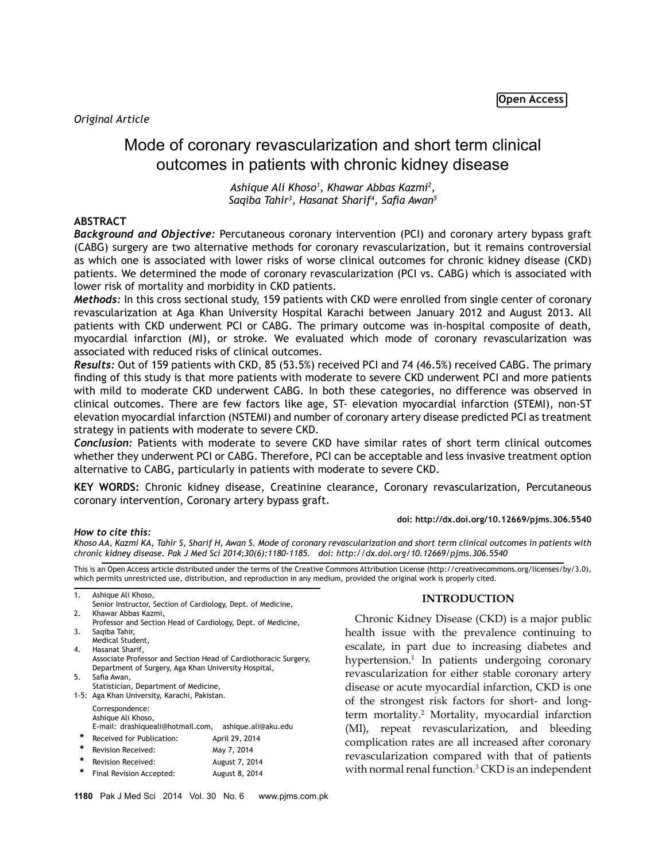### Mode of coronary revascularization and short term clinical outcomes in patients with chronic kidney disease

*Ashique Ali Khoso1 , Khawar Abbas Kazmi2 , Saqiba Tahir3 , Hasanat Sharif4 , Safia Awan<sup>5</sup>*

#### **ABSTRACT**

*Background and Objective:* Percutaneous coronary intervention (PCI) and coronary artery bypass graft (CABG) surgery are two alternative methods for coronary revascularization, but it remains controversial as which one is associated with lower risks of worse clinical outcomes for chronic kidney disease (CKD) patients. We determined the mode of coronary revascularization (PCI vs. CABG) which is associated with lower risk of mortality and morbidity in CKD patients.

*Methods:* In this cross sectional study, 159 patients with CKD were enrolled from single center of coronary revascularization at Aga Khan University Hospital Karachi between January 2012 and August 2013. All patients with CKD underwent PCI or CABG. The primary outcome was in-hospital composite of death, myocardial infarction (MI), or stroke. We evaluated which mode of coronary revascularization was associated with reduced risks of clinical outcomes.

*Results:* Out of 159 patients with CKD, 85 (53.5%) received PCI and 74 (46.5%) received CABG. The primary finding of this study is that more patients with moderate to severe CKD underwent PCI and more patients with mild to moderate CKD underwent CABG. In both these categories, no difference was observed in clinical outcomes. There are few factors like age, ST- elevation myocardial infarction (STEMI), non-ST elevation myocardial infarction (NSTEMI) and number of coronary artery disease predicted PCI as treatment strategy in patients with moderate to severe CKD.

*Conclusion:* Patients with moderate to severe CKD have similar rates of short term clinical outcomes whether they underwent PCI or CABG. Therefore, PCI can be acceptable and less invasive treatment option alternative to CABG, particularly in patients with moderate to severe CKD.

**KEY WORDS:** Chronic kidney disease, Creatinine clearance, Coronary revascularization, Percutaneous coronary intervention, Coronary artery bypass graft.

#### **doi: http://dx.doi.org/10.12669/pjms.306.5540**

*How to cite this: Khoso AA, Kazmi KA, Tahir S, Sharif H, Awan S. Mode of coronary revascularization and short term clinical outcomes in patients with chronic kidney disease. Pak J Med Sci 2014;30(6):1180-1185. doi: http://dx.doi.org/10.12669/pjms.306.5540*

This is an Open Access article distributed under the terms of the Creative Commons Attribution License (http://creativecommons.org/licenses/by/3.0), which permits unrestricted use, distribution, and reproduction in any medium, provided the original work is properly cited.

| 1.     | Ashique Ali Khoso,                                              |                |  |
|--------|-----------------------------------------------------------------|----------------|--|
|        | Senior Instructor, Section of Cardiology, Dept. of Medicine,    |                |  |
| 2.     | Khawar Abbas Kazmi,                                             |                |  |
|        | Professor and Section Head of Cardiology, Dept. of Medicine,    |                |  |
| 3.     | Sagiba Tahir,                                                   |                |  |
| 4.     | Medical Student,<br>Hasanat Sharif,                             |                |  |
|        | Associate Professor and Section Head of Cardiothoracic Surgery, |                |  |
|        | Department of Surgery, Aga Khan University Hospital,            |                |  |
| 5.     | Safia Awan,                                                     |                |  |
|        | Statistician, Department of Medicine,                           |                |  |
|        | 1-5: Aga Khan University, Karachi, Pakistan.                    |                |  |
|        | Correspondence:                                                 |                |  |
|        | Ashique Ali Khoso,                                              |                |  |
|        | E-mail: drashiqueali@hotmail.com, ashique.ali@aku.edu           |                |  |
| $\ast$ | Received for Publication:                                       | April 29, 2014 |  |
| $\ast$ | Revision Received:                                              | May 7, 2014    |  |
| $\ast$ |                                                                 |                |  |
|        | Revision Received:                                              | August 7, 2014 |  |
| $\ast$ | Final Revision Accepted:                                        | August 8, 2014 |  |
|        |                                                                 |                |  |

#### **INTRODUCTION**

Chronic Kidney Disease (CKD) is a major public health issue with the prevalence continuing to escalate, in part due to increasing diabetes and hypertension.<sup>1</sup> In patients undergoing coronary revascularization for either stable coronary artery disease or acute myocardial infarction, CKD is one of the strongest risk factors for short- and longterm mortality.2 Mortality, myocardial infarction (MI), repeat revascularization, and bleeding complication rates are all increased after coronary revascularization compared with that of patients with normal renal function.<sup>3</sup> CKD is an independent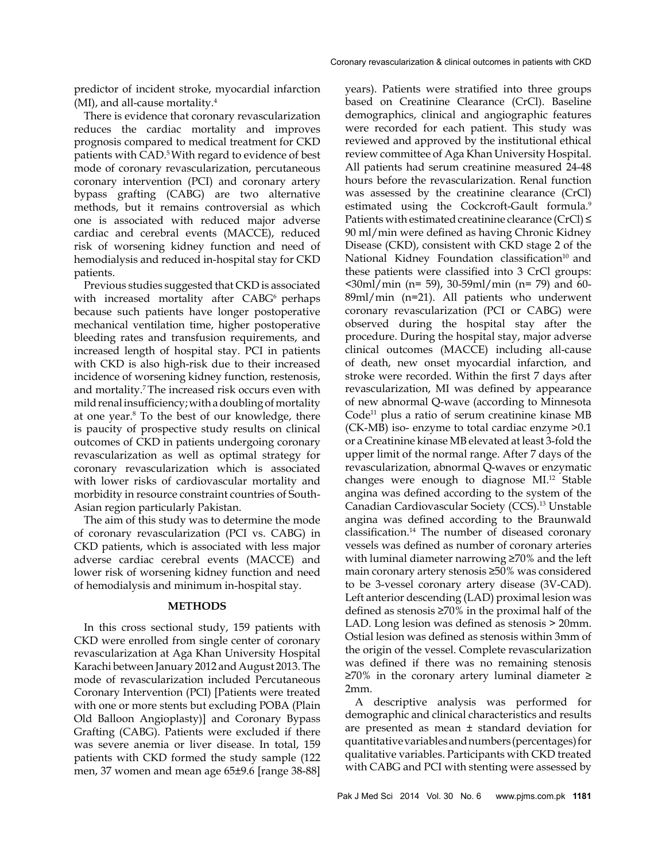predictor of incident stroke, myocardial infarction (MI), and all-cause mortality.4

There is evidence that coronary revascularization reduces the cardiac mortality and improves prognosis compared to medical treatment for CKD patients with CAD.5 With regard to evidence of best mode of coronary revascularization, percutaneous coronary intervention (PCI) and coronary artery bypass grafting (CABG) are two alternative methods, but it remains controversial as which one is associated with reduced major adverse cardiac and cerebral events (MACCE), reduced risk of worsening kidney function and need of hemodialysis and reduced in-hospital stay for CKD patients.

Previous studies suggested that CKD is associated with increased mortality after CABG<sup>6</sup> perhaps because such patients have longer postoperative mechanical ventilation time, higher postoperative bleeding rates and transfusion requirements, and increased length of hospital stay. PCI in patients with CKD is also high-risk due to their increased incidence of worsening kidney function, restenosis, and mortality.7 The increased risk occurs even with mild renal insufficiency; with a doubling of mortality at one year.8 To the best of our knowledge, there is paucity of prospective study results on clinical outcomes of CKD in patients undergoing coronary revascularization as well as optimal strategy for coronary revascularization which is associated with lower risks of cardiovascular mortality and morbidity in resource constraint countries of South-Asian region particularly Pakistan.

The aim of this study was to determine the mode of coronary revascularization (PCI vs. CABG) in CKD patients, which is associated with less major adverse cardiac cerebral events (MACCE) and lower risk of worsening kidney function and need of hemodialysis and minimum in-hospital stay.

#### **METHODS**

In this cross sectional study, 159 patients with CKD were enrolled from single center of coronary revascularization at Aga Khan University Hospital Karachi between January 2012 and August 2013. The mode of revascularization included Percutaneous Coronary Intervention (PCI) [Patients were treated with one or more stents but excluding POBA (Plain Old Balloon Angioplasty)] and Coronary Bypass Grafting (CABG). Patients were excluded if there was severe anemia or liver disease. In total, 159 patients with CKD formed the study sample (122 men, 37 women and mean age 65±9.6 [range 38-88]

years). Patients were stratified into three groups based on Creatinine Clearance (CrCl). Baseline demographics, clinical and angiographic features were recorded for each patient. This study was reviewed and approved by the institutional ethical review committee of Aga Khan University Hospital. All patients had serum creatinine measured 24-48 hours before the revascularization. Renal function was assessed by the creatinine clearance (CrCl) estimated using the Cockcroft-Gault formula.<sup>9</sup> Patients with estimated creatinine clearance (CrCl) ≤ 90 ml/min were defined as having Chronic Kidney Disease (CKD), consistent with CKD stage 2 of the National Kidney Foundation classification<sup>10</sup> and these patients were classified into 3 CrCl groups: <30ml/min (n= 59), 30-59ml/min (n= 79) and 60- 89ml/min (n=21). All patients who underwent coronary revascularization (PCI or CABG) were observed during the hospital stay after the procedure. During the hospital stay, major adverse clinical outcomes (MACCE) including all-cause of death, new onset myocardial infarction, and stroke were recorded. Within the first 7 days after revascularization, MI was defined by appearance of new abnormal Q-wave (according to Minnesota Code<sup>11</sup> plus a ratio of serum creatinine kinase MB (CK-MB) iso- enzyme to total cardiac enzyme >0.1 or a Creatinine kinase MB elevated at least 3-fold the upper limit of the normal range. After 7 days of the revascularization, abnormal Q-waves or enzymatic changes were enough to diagnose MI.12 Stable angina was defined according to the system of the Canadian Cardiovascular Society (CCS).13 Unstable angina was defined according to the Braunwald classification.14 The number of diseased coronary vessels was defined as number of coronary arteries with luminal diameter narrowing ≥70% and the left main coronary artery stenosis ≥50% was considered to be 3-vessel coronary artery disease (3V-CAD). Left anterior descending (LAD) proximal lesion was defined as stenosis ≥70% in the proximal half of the LAD. Long lesion was defined as stenosis > 20mm. Ostial lesion was defined as stenosis within 3mm of the origin of the vessel. Complete revascularization was defined if there was no remaining stenosis ≥70% in the coronary artery luminal diameter ≥ 2mm.

A descriptive analysis was performed for demographic and clinical characteristics and results are presented as mean ± standard deviation for quantitative variables and numbers (percentages) for qualitative variables. Participants with CKD treated with CABG and PCI with stenting were assessed by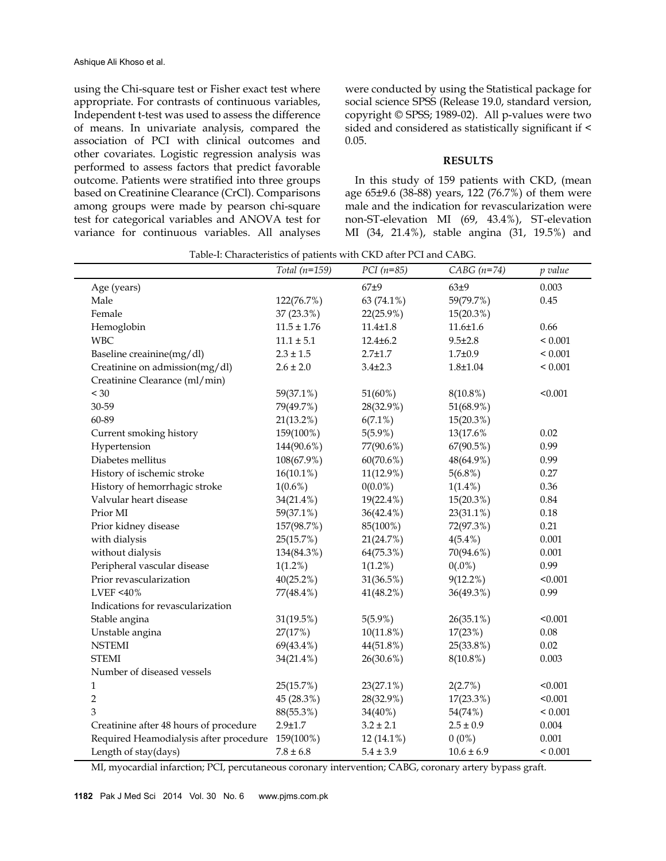using the Chi-square test or Fisher exact test where appropriate. For contrasts of continuous variables, Independent t-test was used to assess the difference of means. In univariate analysis, compared the association of PCI with clinical outcomes and other covariates. Logistic regression analysis was performed to assess factors that predict favorable outcome. Patients were stratified into three groups based on Creatinine Clearance (CrCl). Comparisons among groups were made by pearson chi-square test for categorical variables and ANOVA test for variance for continuous variables. All analyses

were conducted by using the Statistical package for social science SPSS (Release 19.0, standard version, copyright © SPSS; 1989-02). All p-values were two sided and considered as statistically significant if < 0.05.

#### **RESULTS**

In this study of 159 patients with CKD, (mean age 65±9.6 (38-88) years, 122 (76.7%) of them were male and the indication for revascularization were non-ST-elevation MI (69, 43.4%), ST-elevation MI (34, 21.4%), stable angina (31, 19.5%) and

|                                        | Total $(n=159)$ | $PCI(n=85)$    | $CABG (n=74)$  | p value     |
|----------------------------------------|-----------------|----------------|----------------|-------------|
| Age (years)                            |                 | 67±9           | 63±9           | 0.003       |
| Male                                   | 122(76.7%)      | 63 (74.1%)     | 59(79.7%)      | 0.45        |
| Female                                 | 37 (23.3%)      | 22(25.9%)      | $15(20.3\%)$   |             |
| Hemoglobin                             | $11.5 \pm 1.76$ | $11.4 \pm 1.8$ | $11.6 \pm 1.6$ | 0.66        |
| <b>WBC</b>                             | $11.1 \pm 5.1$  | $12.4 \pm 6.2$ | $9.5 \pm 2.8$  | ${}< 0.001$ |
| Baseline creainine(mg/dl)              | $2.3 \pm 1.5$   | $2.7 + 1.7$    | $1.7 + 0.9$    | ${}< 0.001$ |
| Creatinine on admission(mg/dl)         | $2.6 \pm 2.0$   | $3.4 + 2.3$    | $1.8 + 1.04$   | ${}< 0.001$ |
| Creatinine Clearance (ml/min)          |                 |                |                |             |
| < 30                                   | 59(37.1%)       | $51(60\%)$     | $8(10.8\%)$    | < 0.001     |
| 30-59                                  | 79(49.7%)       | 28(32.9%)      | 51(68.9%)      |             |
| 60-89                                  | $21(13.2\%)$    | $6(7.1\%)$     | $15(20.3\%)$   |             |
| Current smoking history                | 159(100%)       | $5(5.9\%)$     | 13(17.6%       | 0.02        |
| Hypertension                           | 144(90.6%)      | 77(90.6%)      | 67(90.5%)      | 0.99        |
| Diabetes mellitus                      | 108(67.9%)      | 60(70.6%)      | 48(64.9%)      | 0.99        |
| History of ischemic stroke             | $16(10.1\%)$    | $11(12.9\%)$   | $5(6.8\%)$     | 0.27        |
| History of hemorrhagic stroke          | $1(0.6\%)$      | $0(0.0\%)$     | $1(1.4\%)$     | 0.36        |
| Valvular heart disease                 | 34(21.4%)       | 19(22.4%)      | $15(20.3\%)$   | 0.84        |
| Prior MI                               | 59(37.1%)       | $36(42.4\%)$   | $23(31.1\%)$   | 0.18        |
| Prior kidney disease                   | 157(98.7%)      | 85(100%)       | 72(97.3%)      | 0.21        |
| with dialysis                          | 25(15.7%)       | 21(24.7%)      | $4(5.4\%)$     | 0.001       |
| without dialysis                       | 134(84.3%)      | 64(75.3%)      | 70(94.6%)      | 0.001       |
| Peripheral vascular disease            | $1(1.2\%)$      | $1(1.2\%)$     | $0(.0\%)$      | 0.99        |
| Prior revascularization                | 40(25.2%)       | 31(36.5%)      | $9(12.2\%)$    | < 0.001     |
| LVEF <40%                              | 77(48.4%)       | 41(48.2%)      | 36(49.3%)      | 0.99        |
| Indications for revascularization      |                 |                |                |             |
| Stable angina                          | 31(19.5%)       | $5(5.9\%)$     | 26(35.1%)      | < 0.001     |
| Unstable angina                        | 27(17%)         | $10(11.8\%)$   | 17(23%)        | 0.08        |
| <b>NSTEMI</b>                          | 69(43.4%)       | 44(51.8%)      | 25(33.8%)      | 0.02        |
| <b>STEMI</b>                           | 34(21.4%)       | 26(30.6%)      | $8(10.8\%)$    | 0.003       |
| Number of diseased vessels             |                 |                |                |             |
| $\mathbf{1}$                           | 25(15.7%)       | $23(27.1\%)$   | 2(2.7%)        | < 0.001     |
| $\overline{2}$                         | 45 (28.3%)      | 28(32.9%)      | $17(23.3\%)$   | < 0.001     |
| 3                                      | 88(55.3%)       | 34(40%)        | 54(74%)        | ${}< 0.001$ |
| Creatinine after 48 hours of procedure | $2.9 + 1.7$     | $3.2 \pm 2.1$  | $2.5 \pm 0.9$  | 0.004       |
| Required Heamodialysis after procedure | 159(100%)       | 12 (14.1%)     | $0(0\%)$       | 0.001       |
| Length of stay(days)                   | $7.8 \pm 6.8$   | $5.4 \pm 3.9$  | $10.6 \pm 6.9$ | < 0.001     |

MI, myocardial infarction; PCI, percutaneous coronary intervention; CABG, coronary artery bypass graft.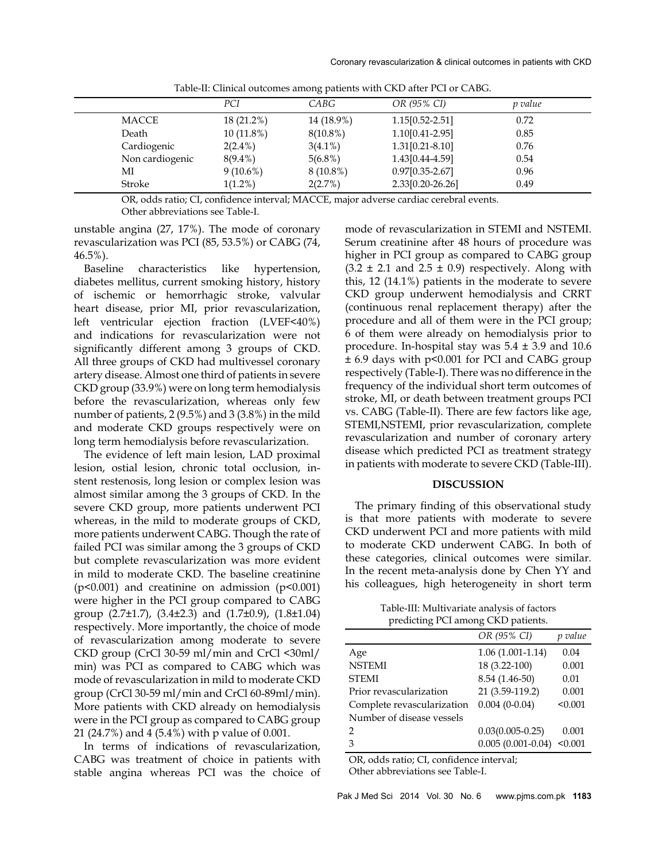|                 | PCI          | CABG        | OR (95% CI)          | p value |
|-----------------|--------------|-------------|----------------------|---------|
| <b>MACCE</b>    | 18 (21.2%)   | 14 (18.9%)  | 1.15 $[0.52 - 2.51]$ | 0.72    |
| Death           | $10(11.8\%)$ | $8(10.8\%)$ | $1.10[0.41 - 2.95]$  | 0.85    |
| Cardiogenic     | $2(2.4\%)$   | $3(4.1\%)$  | $1.31[0.21-8.10]$    | 0.76    |
| Non cardiogenic | $8(9.4\%)$   | $5(6.8\%)$  | 1.43[0.44-4.59]      | 0.54    |
| МI              | $9(10.6\%)$  | $8(10.8\%)$ | $0.97[0.35 - 2.67]$  | 0.96    |
| Stroke          | $1(1.2\%)$   | 2(2.7%)     | 2.33[0.20-26.26]     | 0.49    |

Table-II: Clinical outcomes among patients with CKD after PCI or CABG.

OR, odds ratio; CI, confidence interval; MACCE, major adverse cardiac cerebral events. Other abbreviations see Table-I.

unstable angina (27, 17%). The mode of coronary revascularization was PCI (85, 53.5%) or CABG (74, 46.5%).

Baseline characteristics like hypertension, diabetes mellitus, current smoking history, history of ischemic or hemorrhagic stroke, valvular heart disease, prior MI, prior revascularization, left ventricular ejection fraction (LVEF<40%) and indications for revascularization were not significantly different among 3 groups of CKD. All three groups of CKD had multivessel coronary artery disease. Almost one third of patients in severe CKD group (33.9%) were on long term hemodialysis before the revascularization, whereas only few number of patients, 2 (9.5%) and 3 (3.8%) in the mild and moderate CKD groups respectively were on long term hemodialysis before revascularization.

The evidence of left main lesion, LAD proximal lesion, ostial lesion, chronic total occlusion, instent restenosis, long lesion or complex lesion was almost similar among the 3 groups of CKD. In the severe CKD group, more patients underwent PCI whereas, in the mild to moderate groups of CKD, more patients underwent CABG. Though the rate of failed PCI was similar among the 3 groups of CKD but complete revascularization was more evident in mild to moderate CKD. The baseline creatinine  $(p<0.001)$  and creatinine on admission  $(p<0.001)$ were higher in the PCI group compared to CABG group (2.7±1.7), (3.4±2.3) and (1.7±0.9), (1.8±1.04) respectively. More importantly, the choice of mode of revascularization among moderate to severe CKD group (CrCl 30-59 ml/min and CrCl <30ml/ min) was PCI as compared to CABG which was mode of revascularization in mild to moderate CKD group (CrCl 30-59 ml/min and CrCl 60-89ml/min). More patients with CKD already on hemodialysis were in the PCI group as compared to CABG group 21 (24.7%) and 4 (5.4%) with p value of 0.001.

In terms of indications of revascularization, CABG was treatment of choice in patients with stable angina whereas PCI was the choice of

mode of revascularization in STEMI and NSTEMI. Serum creatinine after 48 hours of procedure was higher in PCI group as compared to CABG group  $(3.2 \pm 2.1$  and  $2.5 \pm 0.9)$  respectively. Along with this, 12 (14.1%) patients in the moderate to severe CKD group underwent hemodialysis and CRRT (continuous renal replacement therapy) after the procedure and all of them were in the PCI group; 6 of them were already on hemodialysis prior to procedure. In-hospital stay was  $5.4 \pm 3.9$  and  $10.6$ ± 6.9 days with p<0.001 for PCI and CABG group respectively (Table-I). There was no difference in the frequency of the individual short term outcomes of stroke, MI, or death between treatment groups PCI vs. CABG (Table-II). There are few factors like age, STEMI,NSTEMI, prior revascularization, complete revascularization and number of coronary artery disease which predicted PCI as treatment strategy in patients with moderate to severe CKD (Table-III).

#### **DISCUSSION**

The primary finding of this observational study is that more patients with moderate to severe CKD underwent PCI and more patients with mild to moderate CKD underwent CABG. In both of these categories, clinical outcomes were similar. In the recent meta-analysis done by Chen YY and his colleagues, high heterogeneity in short term

Table-III: Multivariate analysis of factors predicting PCI among CKD patients.

|                            | OR (95% CI)           | p value |
|----------------------------|-----------------------|---------|
| Age                        | $1.06(1.001-1.14)$    | 0.04    |
| <b>NSTEMI</b>              | 18 (3.22-100)         | 0.001   |
| <b>STEMI</b>               | 8.54 (1.46-50)        | 0.01    |
| Prior revascularization    | 21 (3.59-119.2)       | 0.001   |
| Complete revascularization | $0.004(0-0.04)$       | < 0.001 |
| Number of disease vessels  |                       |         |
| $\mathcal{P}$              | $0.03(0.005 - 0.25)$  | 0.001   |
| З                          | $0.005(0.001 - 0.04)$ | < 0.001 |
|                            |                       |         |

OR, odds ratio; CI, confidence interval; Other abbreviations see Table-I.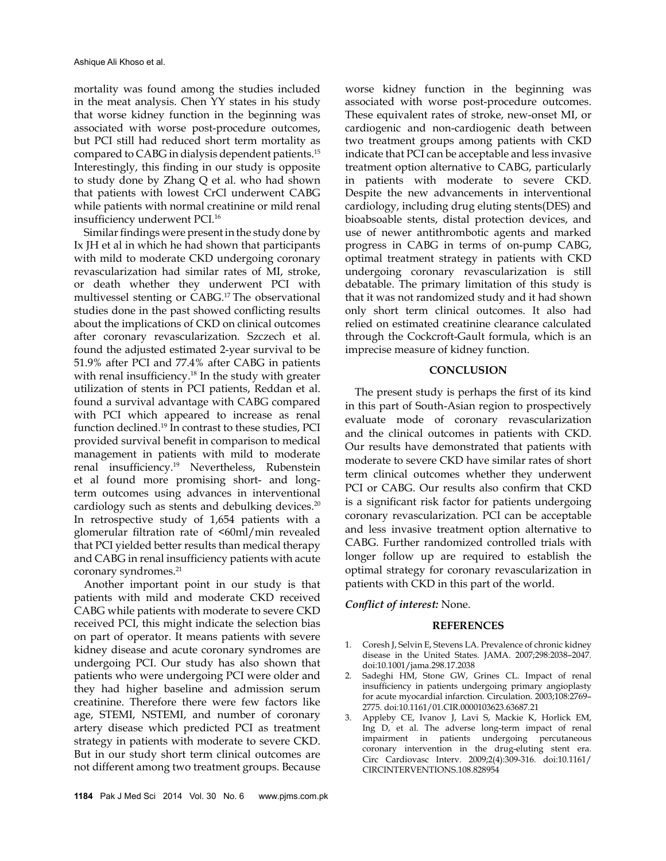mortality was found among the studies included in the meat analysis. Chen YY states in his study that worse kidney function in the beginning was associated with worse post-procedure outcomes, but PCI still had reduced short term mortality as compared to CABG in dialysis dependent patients.15 Interestingly, this finding in our study is opposite to study done by Zhang Q et al. who had shown that patients with lowest CrCl underwent CABG while patients with normal creatinine or mild renal insufficiency underwent PCI.<sup>16</sup>

Similar findings were present in the study done by Ix JH et al in which he had shown that participants with mild to moderate CKD undergoing coronary revascularization had similar rates of MI, stroke, or death whether they underwent PCI with multivessel stenting or CABG.17 The observational studies done in the past showed conflicting results about the implications of CKD on clinical outcomes after coronary revascularization. Szczech et al. found the adjusted estimated 2-year survival to be 51.9% after PCI and 77.4% after CABG in patients with renal insufficiency.<sup>18</sup> In the study with greater utilization of stents in PCI patients, Reddan et al. found a survival advantage with CABG compared with PCI which appeared to increase as renal function declined.19 In contrast to these studies, PCI provided survival benefit in comparison to medical management in patients with mild to moderate renal insufficiency.19 Nevertheless, Rubenstein et al found more promising short- and longterm outcomes using advances in interventional cardiology such as stents and debulking devices. $20$ In retrospective study of 1,654 patients with a glomerular filtration rate of <60ml/min revealed that PCI yielded better results than medical therapy and CABG in renal insufficiency patients with acute coronary syndromes.<sup>21</sup>

Another important point in our study is that patients with mild and moderate CKD received CABG while patients with moderate to severe CKD received PCI, this might indicate the selection bias on part of operator. It means patients with severe kidney disease and acute coronary syndromes are undergoing PCI. Our study has also shown that patients who were undergoing PCI were older and they had higher baseline and admission serum creatinine. Therefore there were few factors like age, STEMI, NSTEMI, and number of coronary artery disease which predicted PCI as treatment strategy in patients with moderate to severe CKD. But in our study short term clinical outcomes are not different among two treatment groups. Because worse kidney function in the beginning was associated with worse post-procedure outcomes. These equivalent rates of stroke, new-onset MI, or cardiogenic and non-cardiogenic death between two treatment groups among patients with CKD indicate that PCI can be acceptable and less invasive treatment option alternative to CABG, particularly in patients with moderate to severe CKD. Despite the new advancements in interventional cardiology, including drug eluting stents(DES) and bioabsoable stents, distal protection devices, and use of newer antithrombotic agents and marked progress in CABG in terms of on-pump CABG, optimal treatment strategy in patients with CKD undergoing coronary revascularization is still debatable. The primary limitation of this study is that it was not randomized study and it had shown only short term clinical outcomes. It also had relied on estimated creatinine clearance calculated through the Cockcroft-Gault formula, which is an imprecise measure of kidney function.

#### **CONCLUSION**

The present study is perhaps the first of its kind in this part of South-Asian region to prospectively evaluate mode of coronary revascularization and the clinical outcomes in patients with CKD. Our results have demonstrated that patients with moderate to severe CKD have similar rates of short term clinical outcomes whether they underwent PCI or CABG. Our results also confirm that CKD is a significant risk factor for patients undergoing coronary revascularization. PCI can be acceptable and less invasive treatment option alternative to CABG. Further randomized controlled trials with longer follow up are required to establish the optimal strategy for coronary revascularization in patients with CKD in this part of the world.

#### *Conflict of interest:* None.

#### **REFERENCES**

- 1. Coresh J, Selvin E, Stevens LA. Prevalence of chronic kidney disease in the United States. JAMA. 2007;298:2038–2047. doi:10.1001/jama.298.17.2038
- Sadeghi HM, Stone GW, Grines CL. Impact of renal insufficiency in patients undergoing primary angioplasty for acute myocardial infarction. Circulation. 2003;108:2769– 2775. doi:10.1161/01.CIR.0000103623.63687.21
- 3. Appleby CE, Ivanov J, Lavi S, Mackie K, Horlick EM, Ing D, et al. The adverse long-term impact of renal impairment in patients undergoing percutaneous coronary intervention in the drug-eluting stent era. Circ Cardiovasc Interv. 2009;2(4):309-316. doi:10.1161/ CIRCINTERVENTIONS.108.828954